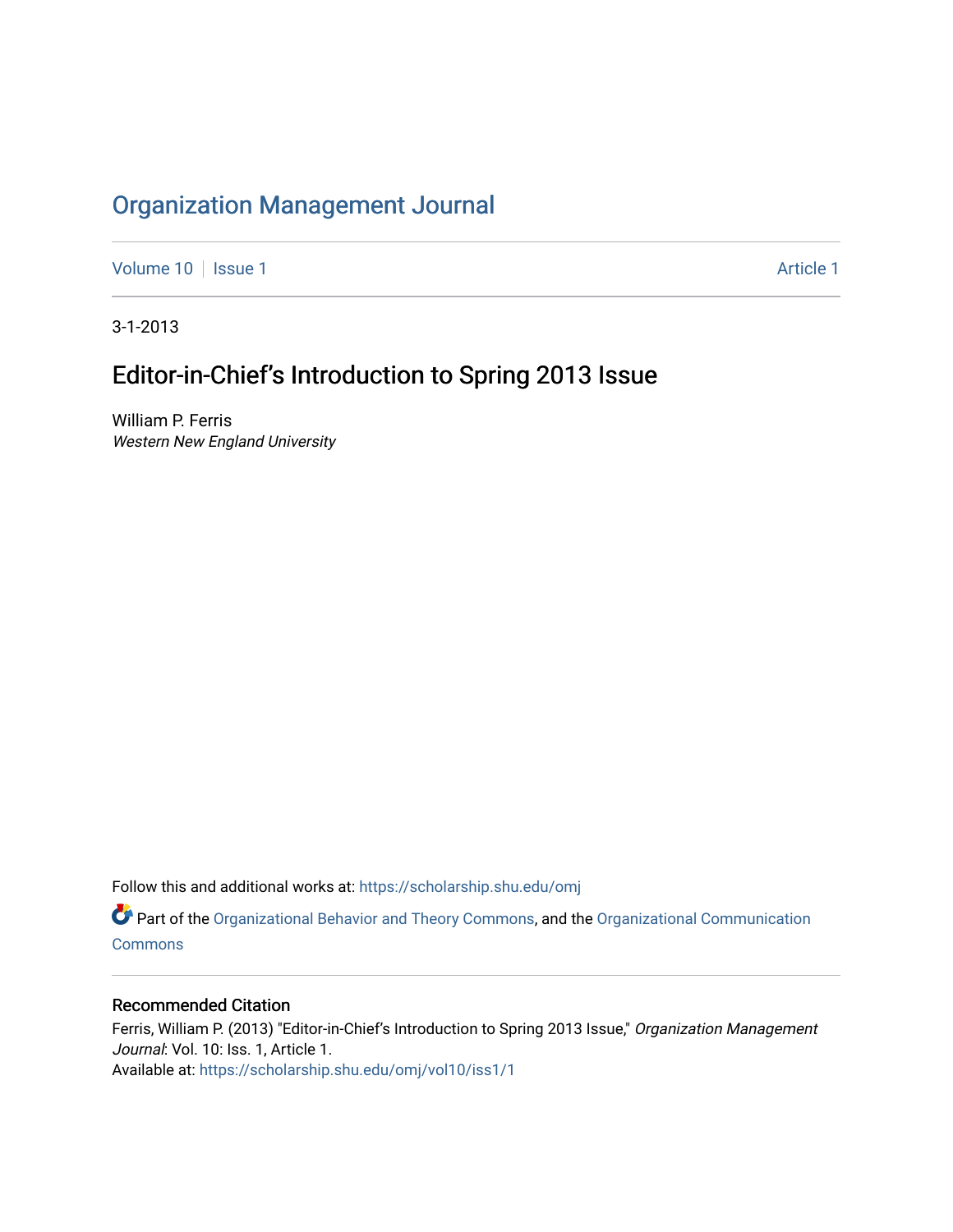# [Organization Management Journal](https://scholarship.shu.edu/omj)

[Volume 10](https://scholarship.shu.edu/omj/vol10) | [Issue 1](https://scholarship.shu.edu/omj/vol10/iss1) Article 1

3-1-2013

# Editor-in-Chief's Introduction to Spring 2013 Issue

William P. Ferris Western New England University

Follow this and additional works at: [https://scholarship.shu.edu/omj](https://scholarship.shu.edu/omj?utm_source=scholarship.shu.edu%2Fomj%2Fvol10%2Fiss1%2F1&utm_medium=PDF&utm_campaign=PDFCoverPages) 

Part of the [Organizational Behavior and Theory Commons,](http://network.bepress.com/hgg/discipline/639?utm_source=scholarship.shu.edu%2Fomj%2Fvol10%2Fiss1%2F1&utm_medium=PDF&utm_campaign=PDFCoverPages) and the [Organizational Communication](http://network.bepress.com/hgg/discipline/335?utm_source=scholarship.shu.edu%2Fomj%2Fvol10%2Fiss1%2F1&utm_medium=PDF&utm_campaign=PDFCoverPages) **[Commons](http://network.bepress.com/hgg/discipline/335?utm_source=scholarship.shu.edu%2Fomj%2Fvol10%2Fiss1%2F1&utm_medium=PDF&utm_campaign=PDFCoverPages)** 

## Recommended Citation

Ferris, William P. (2013) "Editor-in-Chief's Introduction to Spring 2013 Issue," Organization Management Journal: Vol. 10: Iss. 1, Article 1. Available at: [https://scholarship.shu.edu/omj/vol10/iss1/1](https://scholarship.shu.edu/omj/vol10/iss1/1?utm_source=scholarship.shu.edu%2Fomj%2Fvol10%2Fiss1%2F1&utm_medium=PDF&utm_campaign=PDFCoverPages)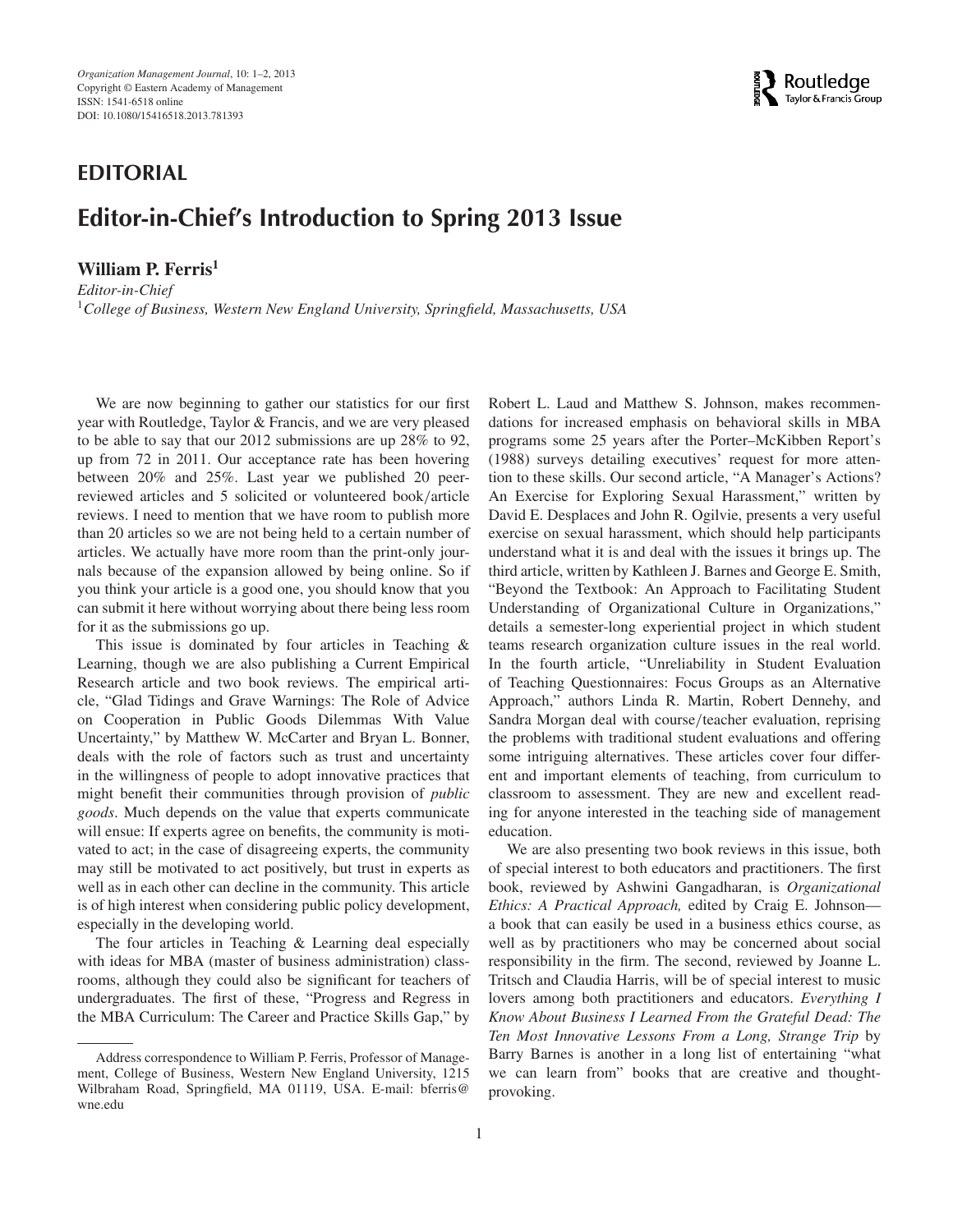## **EDITORIAL**

## **Editor-in-Chief's Introduction to Spring 2013 Issue**

### **William P. Ferris<sup>1</sup>**

*Editor-in-Chief* <sup>1</sup>*College of Business, Western New England University, Springfield, Massachusetts, USA*



We are now beginning to gather our statistics for our first year with Routledge, Taylor & Francis, and we are very pleased to be able to say that our 2012 submissions are up 28% to 92, up from 72 in 2011. Our acceptance rate has been hovering between 20% and 25%. Last year we published 20 peerreviewed articles and 5 solicited or volunteered book*/*article reviews. I need to mention that we have room to publish more than 20 articles so we are not being held to a certain number of articles. We actually have more room than the print-only journals because of the expansion allowed by being online. So if you think your article is a good one, you should know that you can submit it here without worrying about there being less room for it as the submissions go up.

This issue is dominated by four articles in Teaching & Learning, though we are also publishing a Current Empirical Research article and two book reviews. The empirical article, "Glad Tidings and Grave Warnings: The Role of Advice on Cooperation in Public Goods Dilemmas With Value Uncertainty," by Matthew W. McCarter and Bryan L. Bonner, deals with the role of factors such as trust and uncertainty in the willingness of people to adopt innovative practices that might benefit their communities through provision of *public goods*. Much depends on the value that experts communicate will ensue: If experts agree on benefits, the community is motivated to act; in the case of disagreeing experts, the community may still be motivated to act positively, but trust in experts as well as in each other can decline in the community. This article is of high interest when considering public policy development, especially in the developing world.

The four articles in Teaching & Learning deal especially with ideas for MBA (master of business administration) classrooms, although they could also be significant for teachers of undergraduates. The first of these, "Progress and Regress in the MBA Curriculum: The Career and Practice Skills Gap," by Robert L. Laud and Matthew S. Johnson, makes recommendations for increased emphasis on behavioral skills in MBA programs some 25 years after the Porter–McKibben Report's (1988) surveys detailing executives' request for more attention to these skills. Our second article, "A Manager's Actions? An Exercise for Exploring Sexual Harassment," written by David E. Desplaces and John R. Ogilvie, presents a very useful exercise on sexual harassment, which should help participants understand what it is and deal with the issues it brings up. The third article, written by Kathleen J. Barnes and George E. Smith, "Beyond the Textbook: An Approach to Facilitating Student Understanding of Organizational Culture in Organizations," details a semester-long experiential project in which student teams research organization culture issues in the real world. In the fourth article, "Unreliability in Student Evaluation of Teaching Questionnaires: Focus Groups as an Alternative Approach," authors Linda R. Martin, Robert Dennehy, and Sandra Morgan deal with course*/*teacher evaluation, reprising the problems with traditional student evaluations and offering some intriguing alternatives. These articles cover four different and important elements of teaching, from curriculum to classroom to assessment. They are new and excellent reading for anyone interested in the teaching side of management education.

We are also presenting two book reviews in this issue, both of special interest to both educators and practitioners. The first book, reviewed by Ashwini Gangadharan, is *Organizational Ethics: A Practical Approach,* edited by Craig E. Johnson a book that can easily be used in a business ethics course, as well as by practitioners who may be concerned about social responsibility in the firm. The second, reviewed by Joanne L. Tritsch and Claudia Harris, will be of special interest to music lovers among both practitioners and educators. *Everything I Know About Business I Learned From the Grateful Dead: The Ten Most Innovative Lessons From a Long, Strange Trip* by Barry Barnes is another in a long list of entertaining "what we can learn from" books that are creative and thoughtprovoking.

Address correspondence to William P. Ferris, Professor of Management, College of Business, Western New England University, 1215 Wilbraham Road, Springfield, MA 01119, USA. E-mail: bferris@ wne.edu